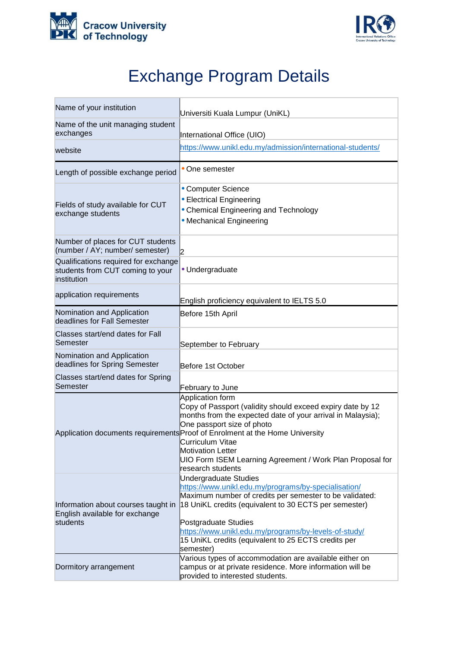



## Exchange Program Details

| Name of your institution                                                                | Universiti Kuala Lumpur (UniKL)                                                                                                                                                                                                                                                                                                                                                                      |
|-----------------------------------------------------------------------------------------|------------------------------------------------------------------------------------------------------------------------------------------------------------------------------------------------------------------------------------------------------------------------------------------------------------------------------------------------------------------------------------------------------|
| Name of the unit managing student<br>exchanges                                          | International Office (UIO)                                                                                                                                                                                                                                                                                                                                                                           |
| website                                                                                 | https://www.unikl.edu.my/admission/international-students/                                                                                                                                                                                                                                                                                                                                           |
| Length of possible exchange period                                                      | • One semester                                                                                                                                                                                                                                                                                                                                                                                       |
| Fields of study available for CUT<br>exchange students                                  | • Computer Science<br>• Electrical Engineering<br>• Chemical Engineering and Technology<br>• Mechanical Engineering                                                                                                                                                                                                                                                                                  |
| Number of places for CUT students<br>(number / AY; number/ semester)                    | $\mathsf{P}$                                                                                                                                                                                                                                                                                                                                                                                         |
| Qualifications required for exchange<br>students from CUT coming to your<br>institution | · Undergraduate                                                                                                                                                                                                                                                                                                                                                                                      |
| application requirements                                                                | English proficiency equivalent to IELTS 5.0                                                                                                                                                                                                                                                                                                                                                          |
| Nomination and Application<br>deadlines for Fall Semester                               | Before 15th April                                                                                                                                                                                                                                                                                                                                                                                    |
| Classes start/end dates for Fall<br>Semester                                            | September to February                                                                                                                                                                                                                                                                                                                                                                                |
| Nomination and Application<br>deadlines for Spring Semester                             | Before 1st October                                                                                                                                                                                                                                                                                                                                                                                   |
| Classes start/end dates for Spring<br>Semester                                          | February to June                                                                                                                                                                                                                                                                                                                                                                                     |
|                                                                                         | Application form<br>Copy of Passport (validity should exceed expiry date by 12<br>months from the expected date of your arrival in Malaysia);<br>One passport size of photo<br>Application documents requirements Proof of Enrolment at the Home University<br><b>Curriculum Vitae</b><br><b>Motivation Letter</b><br>UIO Form ISEM Learning Agreement / Work Plan Proposal for<br>research students |
| Information about courses taught in<br>English available for exchange<br>students       | Undergraduate Studies<br>https://www.unikl.edu.my/programs/by-specialisation/<br>Maximum number of credits per semester to be validated:<br>18 UniKL credits (equivalent to 30 ECTS per semester)<br>Postgraduate Studies<br>https://www.unikl.edu.my/programs/by-levels-of-study/<br>15 UniKL credits (equivalent to 25 ECTS credits per<br>semester)                                               |
| Dormitory arrangement                                                                   | Various types of accommodation are available either on<br>campus or at private residence. More information will be<br>provided to interested students.                                                                                                                                                                                                                                               |